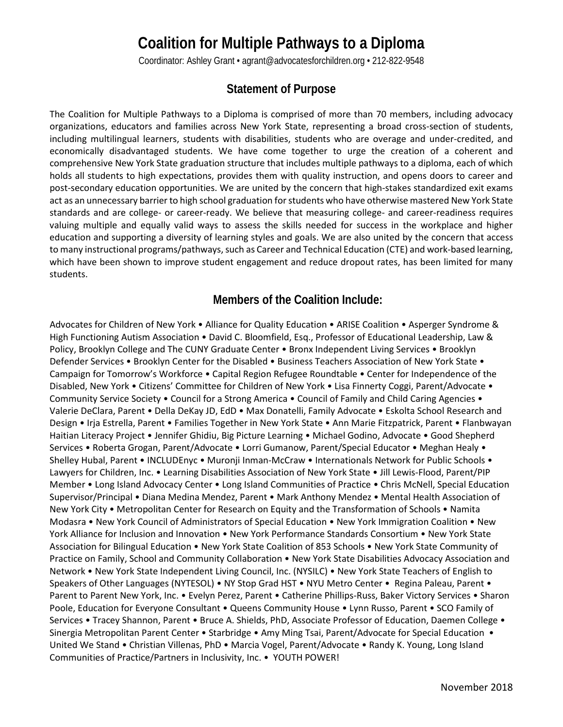# **Coalition for Multiple Pathways to a Diploma**

Coordinator: Ashley Grant • agrant@advocatesforchildren.org • 212-822-9548

### **Statement of Purpose**

The Coalition for Multiple Pathways to a Diploma is comprised of more than 70 members, including advocacy organizations, educators and families across New York State, representing a broad cross-section of students, including multilingual learners, students with disabilities, students who are overage and under-credited, and economically disadvantaged students. We have come together to urge the creation of a coherent and comprehensive New York State graduation structure that includes multiple pathways to a diploma, each of which holds all students to high expectations, provides them with quality instruction, and opens doors to career and post-secondary education opportunities. We are united by the concern that high-stakes standardized exit exams act as an unnecessary barrier to high school graduation for students who have otherwise mastered New York State standards and are college- or career-ready. We believe that measuring college- and career-readiness requires valuing multiple and equally valid ways to assess the skills needed for success in the workplace and higher education and supporting a diversity of learning styles and goals. We are also united by the concern that access to many instructional programs/pathways, such as Career and Technical Education (CTE) and work-based learning, which have been shown to improve student engagement and reduce dropout rates, has been limited for many students.

### **Members of the Coalition Include:**

Advocates for Children of New York • Alliance for Quality Education • ARISE Coalition • Asperger Syndrome & High Functioning Autism Association • David C. Bloomfield, Esq., Professor of Educational Leadership, Law & Policy, Brooklyn College and The CUNY Graduate Center • Bronx Independent Living Services • Brooklyn Defender Services • Brooklyn Center for the Disabled • Business Teachers Association of New York State • Campaign for Tomorrow's Workforce • Capital Region Refugee Roundtable • Center for Independence of the Disabled, New York • Citizens' Committee for Children of New York • Lisa Finnerty Coggi, Parent/Advocate • Community Service Society • Council for a Strong America • Council of Family and Child Caring Agencies • Valerie DeClara, Parent • Della DeKay JD, EdD • Max Donatelli, Family Advocate • Eskolta School Research and Design • Irja Estrella, Parent • Families Together in New York State • Ann Marie Fitzpatrick, Parent • Flanbwayan Haitian Literacy Project • Jennifer Ghidiu, Big Picture Learning • Michael Godino, Advocate • Good Shepherd Services • Roberta Grogan, Parent/Advocate • Lorri Gumanow, Parent/Special Educator • Meghan Healy • Shelley Hubal, Parent • INCLUDEnyc • Muronji Inman-McCraw • Internationals Network for Public Schools • Lawyers for Children, Inc. • Learning Disabilities Association of New York State • Jill Lewis-Flood, Parent/PIP Member • Long Island Advocacy Center • Long Island Communities of Practice • Chris McNell, Special Education Supervisor/Principal • Diana Medina Mendez, Parent • Mark Anthony Mendez • Mental Health Association of New York City • Metropolitan Center for Research on Equity and the Transformation of Schools • Namita Modasra • New York Council of Administrators of Special Education • New York Immigration Coalition • New York Alliance for Inclusion and Innovation • New York Performance Standards Consortium • New York State Association for Bilingual Education • New York State Coalition of 853 Schools • New York State Community of Practice on Family, School and Community Collaboration • New York State Disabilities Advocacy Association and Network • New York State Independent Living Council, Inc. (NYSILC) • New York State Teachers of English to Speakers of Other Languages (NYTESOL) • NY Stop Grad HST • NYU Metro Center • Regina Paleau, Parent • Parent to Parent New York, Inc. • Evelyn Perez, Parent • Catherine Phillips-Russ, Baker Victory Services • Sharon Poole, Education for Everyone Consultant • Queens Community House • Lynn Russo, Parent • SCO Family of Services • Tracey Shannon, Parent • Bruce A. Shields, PhD, Associate Professor of Education, Daemen College • Sinergia Metropolitan Parent Center • Starbridge • Amy Ming Tsai, Parent/Advocate for Special Education • United We Stand • Christian Villenas, PhD • Marcia Vogel, Parent/Advocate • Randy K. Young, Long Island Communities of Practice/Partners in Inclusivity, Inc. • YOUTH POWER!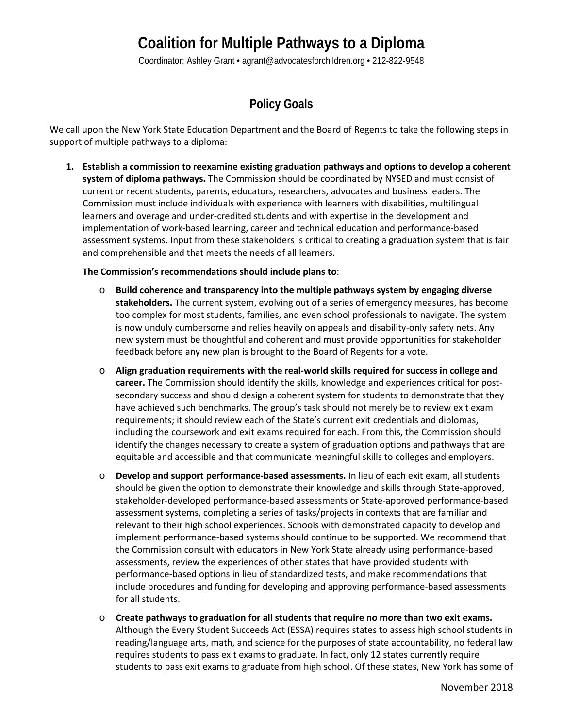# **Coalition for Multiple Pathways to a Diploma**

Coordinator: Ashley Grant • agrant@advocatesforchildren.org • 212-822-9548

## **Policy Goals**

We call upon the New York State Education Department and the Board of Regents to take the following steps in support of multiple pathways to a diploma:

**1. Establish a commission to reexamine existing graduation pathways and options to develop a coherent system of diploma pathways.** The Commission should be coordinated by NYSED and must consist of current or recent students, parents, educators, researchers, advocates and business leaders. The Commission must include individuals with experience with learners with disabilities, multilingual learners and overage and under-credited students and with expertise in the development and implementation of work-based learning, career and technical education and performance-based assessment systems. Input from these stakeholders is critical to creating a graduation system that is fair and comprehensible and that meets the needs of all learners.

#### **The Commission's recommendations should include plans to**:

- o **Build coherence and transparency into the multiple pathways system by engaging diverse stakeholders.** The current system, evolving out of a series of emergency measures, has become too complex for most students, families, and even school professionals to navigate. The system is now unduly cumbersome and relies heavily on appeals and disability-only safety nets. Any new system must be thoughtful and coherent and must provide opportunities for stakeholder feedback before any new plan is brought to the Board of Regents for a vote.
- o **Align graduation requirements with the real-world skills required for success in college and career.** The Commission should identify the skills, knowledge and experiences critical for postsecondary success and should design a coherent system for students to demonstrate that they have achieved such benchmarks. The group's task should not merely be to review exit exam requirements; it should review each of the State's current exit credentials and diplomas, including the coursework and exit exams required for each. From this, the Commission should identify the changes necessary to create a system of graduation options and pathways that are equitable and accessible and that communicate meaningful skills to colleges and employers.
- o **Develop and support performance-based assessments.** In lieu of each exit exam, all students should be given the option to demonstrate their knowledge and skills through State-approved, stakeholder-developed performance-based assessments or State-approved performance-based assessment systems, completing a series of tasks/projects in contexts that are familiar and relevant to their high school experiences. Schools with demonstrated capacity to develop and implement performance-based systems should continue to be supported. We recommend that the Commission consult with educators in New York State already using performance-based assessments, review the experiences of other states that have provided students with performance-based options in lieu of standardized tests, and make recommendations that include procedures and funding for developing and approving performance-based assessments for all students.
- o **Create pathways to graduation for all students that require no more than two exit exams.**  Although the Every Student Succeeds Act (ESSA) requires states to assess high school students in reading/language arts, math, and science for the purposes of state accountability, no federal law requires students to pass exit exams to graduate. In fact, only 12 states currently require students to pass exit exams to graduate from high school. Of these states, New York has some of